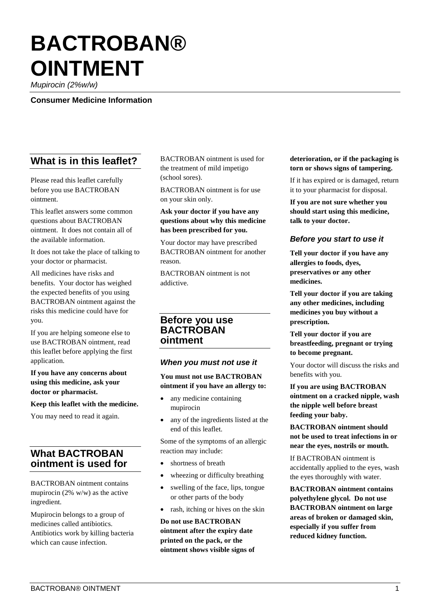# **BACTROBAN® OINTMENT**

*Mupirocin (2%w/w)*

**Consumer Medicine Information**

# **What is in this leaflet?**

Please read this leaflet carefully before you use BACTROBAN ointment.

This leaflet answers some common questions about BACTROBAN ointment. It does not contain all of the available information.

It does not take the place of talking to your doctor or pharmacist.

All medicines have risks and benefits. Your doctor has weighed the expected benefits of you using BACTROBAN ointment against the risks this medicine could have for you.

If you are helping someone else to use BACTROBAN ointment, read this leaflet before applying the first application.

**If you have any concerns about using this medicine, ask your doctor or pharmacist.**

**Keep this leaflet with the medicine.**

You may need to read it again.

# **What BACTROBAN ointment is used for**

BACTROBAN ointment contains mupirocin (2% w/w) as the active ingredient.

Mupirocin belongs to a group of medicines called antibiotics. Antibiotics work by killing bacteria which can cause infection.

BACTROBAN ointment is used for the treatment of mild impetigo (school sores).

BACTROBAN ointment is for use on your skin only.

#### **Ask your doctor if you have any questions about why this medicine has been prescribed for you.**

Your doctor may have prescribed BACTROBAN ointment for another reason.

BACTROBAN ointment is not addictive.

# **Before you use BACTROBAN ointment**

#### *When you must not use it*

**You must not use BACTROBAN ointment if you have an allergy to:**

- any medicine containing mupirocin
- any of the ingredients listed at the end of this leaflet.

Some of the symptoms of an allergic reaction may include:

- shortness of breath
- wheezing or difficulty breathing
- swelling of the face, lips, tongue or other parts of the body
- rash, itching or hives on the skin

**Do not use BACTROBAN ointment after the expiry date printed on the pack, or the ointment shows visible signs of** 

#### **deterioration, or if the packaging is torn or shows signs of tampering.**

If it has expired or is damaged, return it to your pharmacist for disposal.

**If you are not sure whether you should start using this medicine, talk to your doctor.** 

## *Before you start to use it*

**Tell your doctor if you have any allergies to foods, dyes, preservatives or any other medicines.**

**Tell your doctor if you are taking any other medicines, including medicines you buy without a prescription.**

**Tell your doctor if you are breastfeeding, pregnant or trying to become pregnant.** 

Your doctor will discuss the risks and benefits with you.

**If you are using BACTROBAN ointment on a cracked nipple, wash the nipple well before breast feeding your baby.**

**BACTROBAN ointment should not be used to treat infections in or near the eyes, nostrils or mouth.**

If BACTROBAN ointment is accidentally applied to the eyes, wash the eyes thoroughly with water.

**BACTROBAN ointment contains polyethylene glycol. Do not use BACTROBAN ointment on large areas of broken or damaged skin, especially if you suffer from reduced kidney function.**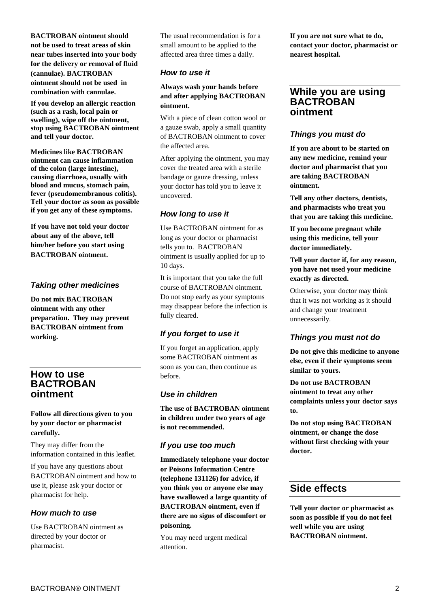**BACTROBAN ointment should not be used to treat areas of skin near tubes inserted into your body for the delivery or removal of fluid (cannulae). BACTROBAN ointment should not be used in combination with cannulae.**

**If you develop an allergic reaction (such as a rash, local pain or swelling), wipe off the ointment, stop using BACTROBAN ointment and tell your doctor.**

**Medicines like BACTROBAN ointment can cause inflammation of the colon (large intestine), causing diarrhoea, usually with blood and mucus, stomach pain, fever (pseudomembranous colitis). Tell your doctor as soon as possible if you get any of these symptoms.**

**If you have not told your doctor about any of the above, tell him/her before you start using BACTROBAN ointment.** 

#### *Taking other medicines*

**Do not mix BACTROBAN ointment with any other preparation. They may prevent BACTROBAN ointment from working.**

# **How to use BACTROBAN ointment**

#### **Follow all directions given to you by your doctor or pharmacist carefully.**

They may differ from the information contained in this leaflet.

If you have any questions about BACTROBAN ointment and how to use it, please ask your doctor or pharmacist for help.

# *How much to use*

Use BACTROBAN ointment as directed by your doctor or pharmacist.

The usual recommendation is for a small amount to be applied to the affected area three times a daily.

## *How to use it*

#### **Always wash your hands before and after applying BACTROBAN ointment.**

With a piece of clean cotton wool or a gauze swab, apply a small quantity of BACTROBAN ointment to cover the affected area.

After applying the ointment, you may cover the treated area with a sterile bandage or gauze dressing, unless your doctor has told you to leave it uncovered.

## *How long to use it*

Use BACTROBAN ointment for as long as your doctor or pharmacist tells you to. BACTROBAN ointment is usually applied for up to 10 days.

It is important that you take the full course of BACTROBAN ointment. Do not stop early as your symptoms may disappear before the infection is fully cleared.

# *If you forget to use it*

If you forget an application, apply some BACTROBAN ointment as soon as you can, then continue as before.

# *Use in children*

**The use of BACTROBAN ointment in children under two years of age is not recommended.**

# *If you use too much*

**Immediately telephone your doctor or Poisons Information Centre (telephone 131126) for advice, if you think you or anyone else may have swallowed a large quantity of BACTROBAN ointment, even if there are no signs of discomfort or poisoning.** 

You may need urgent medical attention.

**If you are not sure what to do, contact your doctor, pharmacist or nearest hospital.**

# **While you are using BACTROBAN ointment**

## *Things you must do*

**If you are about to be started on any new medicine, remind your doctor and pharmacist that you are taking BACTROBAN ointment.** 

**Tell any other doctors, dentists, and pharmacists who treat you that you are taking this medicine.**

**If you become pregnant while using this medicine, tell your doctor immediately.**

**Tell your doctor if, for any reason, you have not used your medicine exactly as directed.**

Otherwise, your doctor may think that it was not working as it should and change your treatment unnecessarily.

# *Things you must not do*

**Do not give this medicine to anyone else, even if their symptoms seem similar to yours.**

**Do not use BACTROBAN ointment to treat any other complaints unless your doctor says to.**

**Do not stop using BACTROBAN ointment, or change the dose without first checking with your doctor.**

# **Side effects**

**Tell your doctor or pharmacist as soon as possible if you do not feel well while you are using BACTROBAN ointment.**